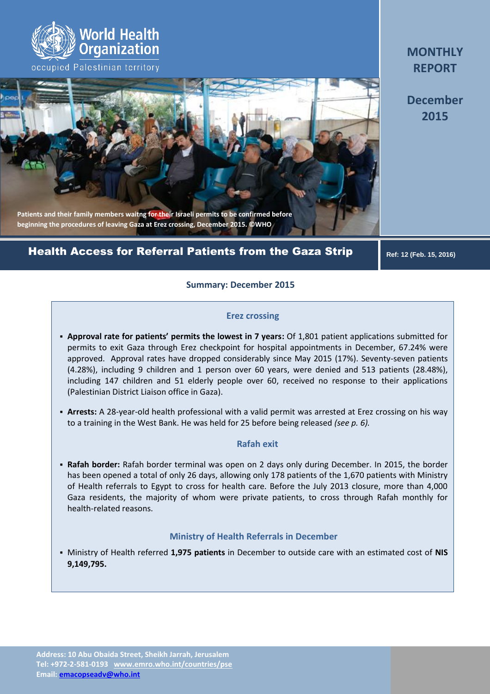

# **Patients and their family members waitng for their Israeli permits to be confirmed before beginning the procedures of leaving Gaza at Erez crossing, December 2015. ©WHO**

# Health Access for Referral Patients from the Gaza Strip

 **Ref: 12 (Feb. 15, 2016)**

## **Summary: December 2015**

#### **Erez crossing**

- **Approval rate for patients' permits the lowest in 7 years:** Of 1,801 patient applications submitted for permits to exit Gaza through Erez checkpoint for hospital appointments in December, 67.24% were approved. Approval rates have dropped considerably since May 2015 (17%). Seventy-seven patients (4.28%), including 9 children and 1 person over 60 years, were denied and 513 patients (28.48%), including 147 children and 51 elderly people over 60, received no response to their applications (Palestinian District Liaison office in Gaza).
- **Arrests:** A 28-year-old health professional with a valid permit was arrested at Erez crossing on his way to a training in the West Bank. He was held for 25 before being released *(see p. 6).*

#### **Rafah exit**

 **Rafah border:** Rafah border terminal was open on 2 days only during December. In 2015, the border has been opened a total of only 26 days, allowing only 178 patients of the 1,670 patients with Ministry of Health referrals to Egypt to cross for health care. Before the July 2013 closure, more than 4,000 Gaza residents, the majority of whom were private patients, to cross through Rafah monthly for health-related reasons.

#### **Ministry of Health Referrals in December**

 Ministry of Health referred **1,975 patients** in December to outside care with an estimated cost of **NIS 9,149,795.**

**MONTHLY REPORT**

**December 2015**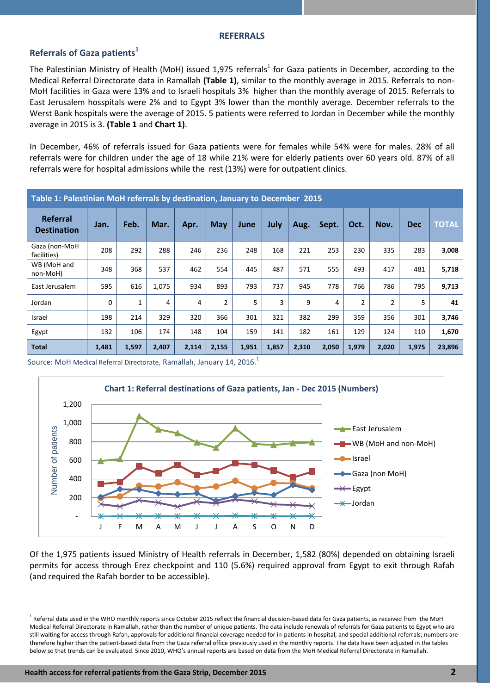# **Referrals of Gaza patients<sup>1</sup>**

The Palestinian Ministry of Health (MoH) issued 1,975 referrals<sup>1</sup> for Gaza patients in December, according to the Medical Referral Directorate data in Ramallah **(Table 1)**, similar to the monthly average in 2015. Referrals to non-MoH facilities in Gaza were 13% and to Israeli hospitals 3% higher than the monthly average of 2015. Referrals to East Jerusalem hosspitals were 2% and to Egypt 3% lower than the monthly average. December referrals to the Werst Bank hospitals were the average of 2015. 5 patients were referred to Jordan in December while the monthly average in 2015 is 3. **(Table 1** and **Chart 1)**.

In December, 46% of referrals issued for Gaza patients were for females while 54% were for males. 28% of all referrals were for children under the age of 18 while 21% were for elderly patients over 60 years old. 87% of all referrals were for hospital admissions while the rest (13%) were for outpatient clinics.

| Table 1: Palestinian MoH referrals by destination, January to December 2015 |             |       |       |       |            |       |       |       |       |                |                |            |              |
|-----------------------------------------------------------------------------|-------------|-------|-------|-------|------------|-------|-------|-------|-------|----------------|----------------|------------|--------------|
| Referral<br><b>Destination</b>                                              | Jan.        | Feb.  | Mar.  | Apr.  | <b>May</b> | June  | July  | Aug.  | Sept. | Oct.           | Nov.           | <b>Dec</b> | <b>TOTAL</b> |
| Gaza (non-MoH<br>facilities)                                                | 208         | 292   | 288   | 246   | 236        | 248   | 168   | 221   | 253   | 230            | 335            | 283        | 3,008        |
| WB (MoH and<br>non-MoH)                                                     | 348         | 368   | 537   | 462   | 554        | 445   | 487   | 571   | 555   | 493            | 417            | 481        | 5,718        |
| East Jerusalem                                                              | 595         | 616   | 1,075 | 934   | 893        | 793   | 737   | 945   | 778   | 766            | 786            | 795        | 9,713        |
| Jordan                                                                      | $\mathbf 0$ | 1     | 4     | 4     | 2          | 5     | 3     | 9     | 4     | $\overline{2}$ | $\overline{2}$ | 5          | 41           |
| Israel                                                                      | 198         | 214   | 329   | 320   | 366        | 301   | 321   | 382   | 299   | 359            | 356            | 301        | 3,746        |
| Egypt                                                                       | 132         | 106   | 174   | 148   | 104        | 159   | 141   | 182   | 161   | 129            | 124            | 110        | 1,670        |
| <b>Total</b>                                                                | 1,481       | 1,597 | 2,407 | 2,114 | 2,155      | 1,951 | 1,857 | 2,310 | 2,050 | 1,979          | 2,020          | 1,975      | 23,896       |

Source: MoH Medical Referral Directorate, Ramallah, January 14, 2016. $^1$ 



Of the 1,975 patients issued Ministry of Health referrals in December, 1,582 (80%) depended on obtaining Israeli permits for access through Erez checkpoint and 110 (5.6%) required approval from Egypt to exit through Rafah (and required the Rafah border to be accessible).

 $\overline{a}$ 

 $^1$  Referral data used in the WHO monthly reports since October 2015 reflect the financial decision-based data for Gaza patients, as received from the MoH Medical Referral Directorate in Ramallah, rather than the number of unique patients. The data include renewals of referrals for Gaza patients to Egypt who are still waiting for access through Rafah, approvals for additional financial coverage needed for in-patients in hospital, and special additional referrals; numbers are therefore higher than the patient-based data from the Gaza referral office previously used in the monthly reports. The data have been adjusted in the tables below so that trends can be evaluated. Since 2010, WHO's annual reports are based on data from the MoH Medical Referral Directorate in Ramallah.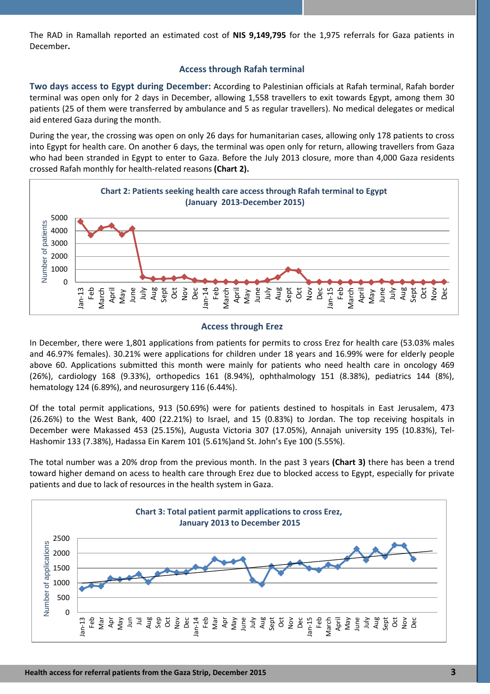The RAD in Ramallah reported an estimated cost of **NIS 9,149,795** for the 1,975 referrals for Gaza patients in December**.**

## **Access through Rafah terminal**

**Two days access to Egypt during December:** According to Palestinian officials at Rafah terminal, Rafah border terminal was open only for 2 days in December, allowing 1,558 travellers to exit towards Egypt, among them 30 patients (25 of them were transferred by ambulance and 5 as regular travellers). No medical delegates or medical aid entered Gaza during the month.

During the year, the crossing was open on only 26 days for humanitarian cases, allowing only 178 patients to cross into Egypt for health care. On another 6 days, the terminal was open only for return, allowing travellers from Gaza who had been stranded in Egypt to enter to Gaza. Before the July 2013 closure, more than 4,000 Gaza residents crossed Rafah monthly for health-related reasons **(Chart 2).**



## **Access through Erez**

In December, there were 1,801 applications from patients for permits to cross Erez for health care (53.03% males and 46.97% females). 30.21% were applications for children under 18 years and 16.99% were for elderly people above 60. Applications submitted this month were mainly for patients who need health care in oncology 469 (26%), cardiology 168 (9.33%), orthopedics 161 (8.94%), ophthalmology 151 (8.38%), pediatrics 144 (8%), hematology 124 (6.89%), and neurosurgery 116 (6.44%).

Of the total permit applications, 913 (50.69%) were for patients destined to hospitals in East Jerusalem, 473 (26.26%) to the West Bank, 400 (22.21%) to Israel, and 15 (0.83%) to Jordan. The top receiving hospitals in December were Makassed 453 (25.15%), Augusta Victoria 307 (17.05%), Annajah university 195 (10.83%), Tel-Hashomir 133 (7.38%), Hadassa Ein Karem 101 (5.61%)and St. John's Eye 100 (5.55%).

The total number was a 20% drop from the previous month. In the past 3 years **(Chart 3)** there has been a trend toward higher demand on acess to health care through Erez due to blocked access to Egypt, especially for private patients and due to lack of resources in the health system in Gaza.

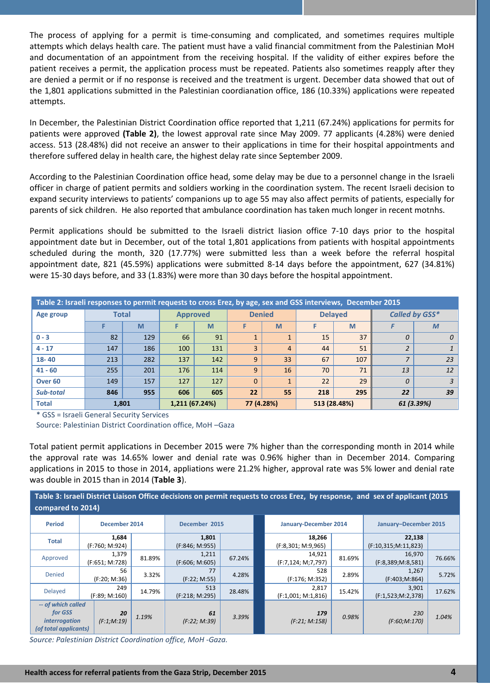The process of applying for a permit is time-consuming and complicated, and sometimes requires multiple attempts which delays health care. The patient must have a valid financial commitment from the Palestinian MoH and documentation of an appointment from the receiving hospital. If the validity of either expires before the patient receives a permit, the application process must be repeated. Patients also sometimes reapply after they are denied a permit or if no response is received and the treatment is urgent. December data showed that out of the 1,801 applications submitted in the Palestinian coordianation office, 186 (10.33%) applications were repeated attempts.

In December, the Palestinian District Coordination office reported that 1,211 (67.24%) applications for permits for patients were approved **(Table 2)**, the lowest approval rate since May 2009. 77 applicants (4.28%) were denied access. 513 (28.48%) did not receive an answer to their applications in time for their hospital appointments and therefore suffered delay in health care, the highest delay rate since September 2009.

According to the Palestinian Coordination office head, some delay may be due to a personnel change in the Israeli officer in charge of patient permits and soldiers working in the coordination system. The recent Israeli decision to expand security interviews to patients' companions up to age 55 may also affect permits of patients, especially for parents of sick children. He also reported that ambulance coordination has taken much longer in recent motnhs.

Permit applications should be submitted to the Israeli district liasion office 7-10 days prior to the hospital appointment date but in December, out of the total 1,801 applications from patients with hospital appointments scheduled during the month, 320 (17.77%) were submitted less than a week before the referral hospital appointment date, 821 (45.59%) applications were submitted 8-14 days before the appointment, 627 (34.81%) were 15-30 days before, and 33 (1.83%) were more than 30 days before the hospital appointment.

| Table 2: Israeli responses to permit requests to cross Erez, by age, sex and GSS interviews, December 2015 |              |     |                 |     |          |               |     |                |                |              |  |
|------------------------------------------------------------------------------------------------------------|--------------|-----|-----------------|-----|----------|---------------|-----|----------------|----------------|--------------|--|
| Age group                                                                                                  | <b>Total</b> |     | <b>Approved</b> |     |          | <b>Denied</b> |     | <b>Delayed</b> | Called by GSS* |              |  |
|                                                                                                            |              | M   |                 | M   |          | M             |     | M              |                | $\mathbf{M}$ |  |
| $0 - 3$                                                                                                    | 82           | 129 | 66              | 91  |          |               | 15  | 37             | $\theta$       | 0            |  |
| $4 - 17$                                                                                                   | 147          | 186 | 100             | 131 | 3        | 4             | 44  | 51             |                |              |  |
| $18 - 40$                                                                                                  | 213          | 282 | 137             | 142 | 9        | 33            | 67  | 107            | 7              | 23           |  |
| $41 - 60$                                                                                                  | 255          | 201 | 176             | 114 | 9        | 16            | 70  | 71             | 13             | 12           |  |
| Over <sub>60</sub>                                                                                         | 149          | 157 | 127             | 127 | $\Omega$ |               | 22  | 29             | $\theta$       | 3            |  |
| Sub-total                                                                                                  | 846          | 955 | 606             | 605 | 22       | 55            | 218 | 295            | 22             | 39           |  |
| <b>Total</b>                                                                                               | 1,801        |     | 1,211 (67.24%)  |     |          | 77 (4.28%)    |     | 513 (28.48%)   | 61 (3.39%)     |              |  |

\* GSS = Israeli General Security Services

Source: Palestinian District Coordination office, MoH –Gaza

Total patient permit applications in December 2015 were 7% higher than the corresponding month in 2014 while the approval rate was 14.65% lower and denial rate was 0.96% higher than in December 2014. Comparing applications in 2015 to those in 2014, appliations were 21.2% higher, approval rate was 5% lower and denial rate was double in 2015 than in 2014 (**Table 3**).

| Table 3: Israeli District Liaison Office decisions on permit requests to cross Erez, by response, and sex of applicant (2015 |               |                                |        |                         |        |  |                              |        |                               |        |  |  |
|------------------------------------------------------------------------------------------------------------------------------|---------------|--------------------------------|--------|-------------------------|--------|--|------------------------------|--------|-------------------------------|--------|--|--|
| compared to 2014)                                                                                                            |               |                                |        |                         |        |  |                              |        |                               |        |  |  |
| <b>Period</b>                                                                                                                | December 2014 |                                |        | December 2015           |        |  | January-December 2014        |        | January-December 2015         |        |  |  |
| <b>Total</b>                                                                                                                 |               | 1,684<br>(F:760; M:924)        |        | 1,801<br>(F:846; M:955) |        |  | 18,266<br>(F:8,301; M:9,965) |        | 22,138<br>(F:10,315;M:11,823) |        |  |  |
| Approved                                                                                                                     |               | 1,379<br>(F:651; M:728)        | 81.89% | 1,211<br>(F:606; M:605) | 67.24% |  | 14,921<br>(F:7,124; M;7,797) | 81.69% | 16,970<br>(F:8,389;M:8,581)   | 76.66% |  |  |
| <b>Denied</b>                                                                                                                |               | 56<br>(F:20; M:36)             | 3.32%  | 77<br>(F:22; M:55)      | 4.28%  |  | 528<br>(F:176; M:352)        | 2.89%  | 1,267<br>(F:403;M:864)        | 5.72%  |  |  |
| Delayed                                                                                                                      |               | 249<br>14.79%<br>(F:89; M:160) |        | 513<br>(F:218; M:295)   | 28.48% |  | 2,817<br>(F:1,001; M:1,816)  | 15.42% | 3,901<br>(F:1,523;M:2,378)    | 17.62% |  |  |
| -- of which called<br>for GSS<br><i>interrogation</i><br>(of total applicants)                                               |               | 20<br>(F:1;M:19)               | 1.19%  | 61<br>(F:22; M:39)      | 3.39%  |  | 179<br>(F.21; M.158)         | 0.98%  | 230<br>(F:60;M:170)           | 1.04%  |  |  |

*Source: Palestinian District Coordination office, MoH -Gaza.*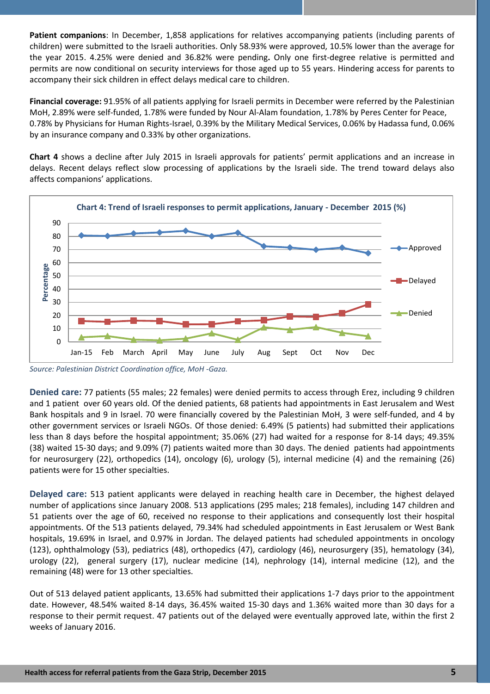**Patient companions**: In December, 1,858 applications for relatives accompanying patients (including parents of children) were submitted to the Israeli authorities. Only 58.93% were approved, 10.5% lower than the average for the year 2015. 4.25% were denied and 36.82% were pending**.** Only one first-degree relative is permitted and permits are now conditional on security interviews for those aged up to 55 years. Hindering access for parents to accompany their sick children in effect delays medical care to children.

**Financial coverage:** 91.95% of all patients applying for Israeli permits in December were referred by the Palestinian MoH, 2.89% were self-funded, 1.78% were funded by Nour Al-Alam foundation, 1.78% by Peres Center for Peace, 0.78% by Physicians for Human Rights-Israel, 0.39% by the Military Medical Services, 0.06% by Hadassa fund, 0.06% by an insurance company and 0.33% by other organizations.

**Chart 4** shows a decline after July 2015 in Israeli approvals for patients' permit applications and an increase in delays. Recent delays reflect slow processing of applications by the Israeli side. The trend toward delays also affects companions' applications.



*Source: Palestinian District Coordination office, MoH -Gaza.*

**Denied care:** 77 patients (55 males; 22 females) were denied permits to access through Erez, including 9 children and 1 patient over 60 years old. Of the denied patients, 68 patients had appointments in East Jerusalem and West Bank hospitals and 9 in Israel. 70 were financially covered by the Palestinian MoH, 3 were self-funded, and 4 by other government services or Israeli NGOs. Of those denied: 6.49% (5 patients) had submitted their applications less than 8 days before the hospital appointment; 35.06% (27) had waited for a response for 8-14 days; 49.35% (38) waited 15-30 days; and 9.09% (7) patients waited more than 30 days. The denied patients had appointments for neurosurgery (22), orthopedics (14), oncology (6), urology (5), internal medicine (4) and the remaining (26) patients were for 15 other specialties.

**Delayed care:** 513 patient applicants were delayed in reaching health care in December, the highest delayed number of applications since January 2008. 513 applications (295 males; 218 females), including 147 children and 51 patients over the age of 60, received no response to their applications and consequently lost their hospital appointments. Of the 513 patients delayed, 79.34% had scheduled appointments in East Jerusalem or West Bank hospitals, 19.69% in Israel, and 0.97% in Jordan. The delayed patients had scheduled appointments in oncology (123), ophthalmology (53), pediatrics (48), orthopedics (47), cardiology (46), neurosurgery (35), hematology (34), urology (22), general surgery (17), nuclear medicine (14), nephrology (14), internal medicine (12), and the remaining (48) were for 13 other specialties.

Out of 513 delayed patient applicants, 13.65% had submitted their applications 1-7 days prior to the appointment date. However, 48.54% waited 8-14 days, 36.45% waited 15-30 days and 1.36% waited more than 30 days for a response to their permit request. 47 patients out of the delayed were eventually approved late, within the first 2 weeks of January 2016.